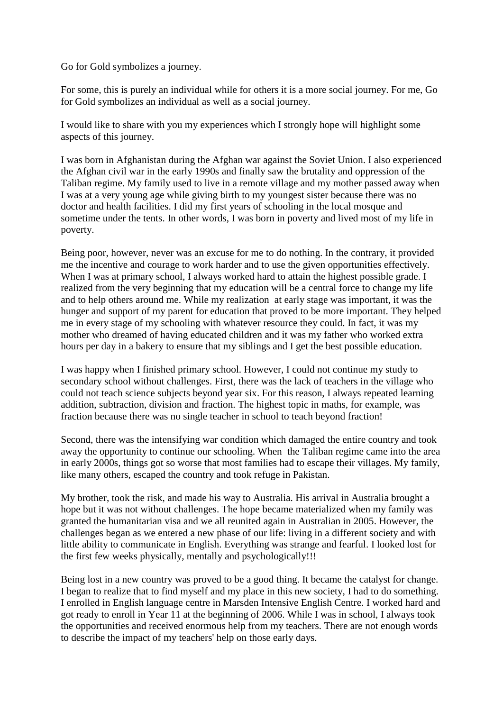Go for Gold symbolizes a journey.

For some, this is purely an individual while for others it is a more social journey. For me, Go for Gold symbolizes an individual as well as a social journey.

I would like to share with you my experiences which I strongly hope will highlight some aspects of this journey.

I was born in Afghanistan during the Afghan war against the Soviet Union. I also experienced the Afghan civil war in the early 1990s and finally saw the brutality and oppression of the Taliban regime. My family used to live in a remote village and my mother passed away when I was at a very young age while giving birth to my youngest sister because there was no doctor and health facilities. I did my first years of schooling in the local mosque and sometime under the tents. In other words, I was born in poverty and lived most of my life in poverty.

Being poor, however, never was an excuse for me to do nothing. In the contrary, it provided me the incentive and courage to work harder and to use the given opportunities effectively. When I was at primary school, I always worked hard to attain the highest possible grade. I realized from the very beginning that my education will be a central force to change my life and to help others around me. While my realization at early stage was important, it was the hunger and support of my parent for education that proved to be more important. They helped me in every stage of my schooling with whatever resource they could. In fact, it was my mother who dreamed of having educated children and it was my father who worked extra hours per day in a bakery to ensure that my siblings and I get the best possible education.

I was happy when I finished primary school. However, I could not continue my study to secondary school without challenges. First, there was the lack of teachers in the village who could not teach science subjects beyond year six. For this reason, I always repeated learning addition, subtraction, division and fraction. The highest topic in maths, for example, was fraction because there was no single teacher in school to teach beyond fraction!

Second, there was the intensifying war condition which damaged the entire country and took away the opportunity to continue our schooling. When the Taliban regime came into the area in early 2000s, things got so worse that most families had to escape their villages. My family, like many others, escaped the country and took refuge in Pakistan.

My brother, took the risk, and made his way to Australia. His arrival in Australia brought a hope but it was not without challenges. The hope became materialized when my family was granted the humanitarian visa and we all reunited again in Australian in 2005. However, the challenges began as we entered a new phase of our life: living in a different society and with little ability to communicate in English. Everything was strange and fearful. I looked lost for the first few weeks physically, mentally and psychologically!!!

Being lost in a new country was proved to be a good thing. It became the catalyst for change. I began to realize that to find myself and my place in this new society, I had to do something. I enrolled in English language centre in Marsden Intensive English Centre. I worked hard and got ready to enroll in Year 11 at the beginning of 2006. While I was in school, I always took the opportunities and received enormous help from my teachers. There are not enough words to describe the impact of my teachers' help on those early days.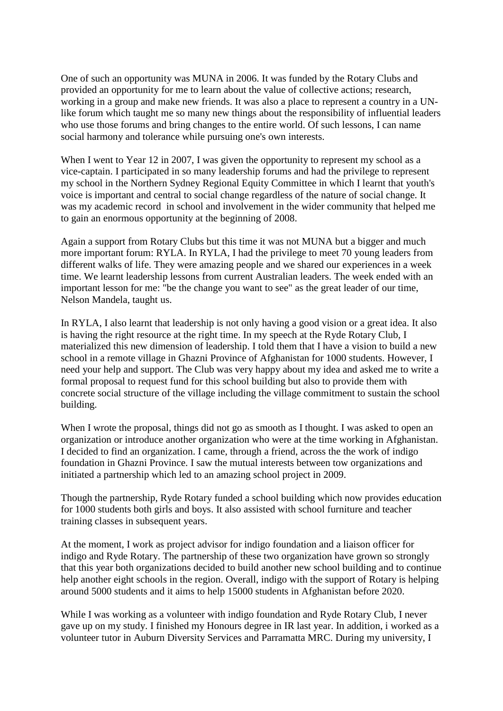One of such an opportunity was MUNA in 2006. It was funded by the Rotary Clubs and provided an opportunity for me to learn about the value of collective actions; research, working in a group and make new friends. It was also a place to represent a country in a UNlike forum which taught me so many new things about the responsibility of influential leaders who use those forums and bring changes to the entire world. Of such lessons, I can name social harmony and tolerance while pursuing one's own interests.

When I went to Year 12 in 2007, I was given the opportunity to represent my school as a vice-captain. I participated in so many leadership forums and had the privilege to represent my school in the Northern Sydney Regional Equity Committee in which I learnt that youth's voice is important and central to social change regardless of the nature of social change. It was my academic record in school and involvement in the wider community that helped me to gain an enormous opportunity at the beginning of 2008.

Again a support from Rotary Clubs but this time it was not MUNA but a bigger and much more important forum: RYLA. In RYLA, I had the privilege to meet 70 young leaders from different walks of life. They were amazing people and we shared our experiences in a week time. We learnt leadership lessons from current Australian leaders. The week ended with an important lesson for me: "be the change you want to see" as the great leader of our time, Nelson Mandela, taught us.

In RYLA, I also learnt that leadership is not only having a good vision or a great idea. It also is having the right resource at the right time. In my speech at the Ryde Rotary Club, I materialized this new dimension of leadership. I told them that I have a vision to build a new school in a remote village in Ghazni Province of Afghanistan for 1000 students. However, I need your help and support. The Club was very happy about my idea and asked me to write a formal proposal to request fund for this school building but also to provide them with concrete social structure of the village including the village commitment to sustain the school building.

When I wrote the proposal, things did not go as smooth as I thought. I was asked to open an organization or introduce another organization who were at the time working in Afghanistan. I decided to find an organization. I came, through a friend, across the the work of indigo foundation in Ghazni Province. I saw the mutual interests between tow organizations and initiated a partnership which led to an amazing school project in 2009.

Though the partnership, Ryde Rotary funded a school building which now provides education for 1000 students both girls and boys. It also assisted with school furniture and teacher training classes in subsequent years.

At the moment, I work as project advisor for indigo foundation and a liaison officer for indigo and Ryde Rotary. The partnership of these two organization have grown so strongly that this year both organizations decided to build another new school building and to continue help another eight schools in the region. Overall, indigo with the support of Rotary is helping around 5000 students and it aims to help 15000 students in Afghanistan before 2020.

While I was working as a volunteer with indigo foundation and Ryde Rotary Club, I never gave up on my study. I finished my Honours degree in IR last year. In addition, i worked as a volunteer tutor in Auburn Diversity Services and Parramatta MRC. During my university, I